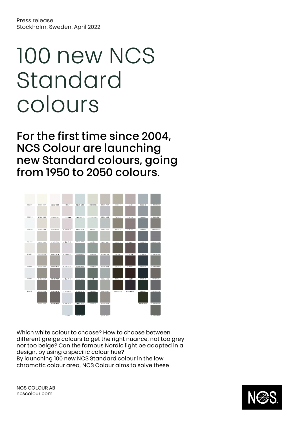# 100 new NCS Standard colours

For the first time since 2004, NCS Colour are launching new Standard colours, going from 1950 to 2050 colours.



Which white colour to choose? How to choose between different greige colours to get the right nuance, not too grey nor too beige? Can the famous Nordic light be adapted in a design, by using a specific colour hue? By launching 100 new NCS Standard colour in the low chromatic colour area, NCS Colour aims to solve these

NCS COLOUR AB ncscolour.com

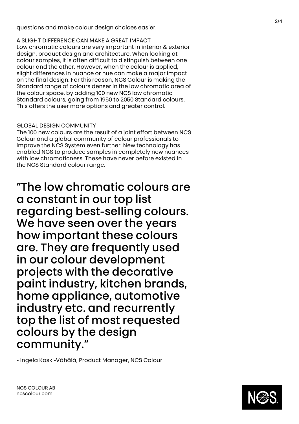questions and make colour design choices easier.

A SLIGHT DIFFERENCE CAN MAKE A GREAT IMPACT Low chromatic colours are very important in interior & exterior design, product design and architecture. When looking at colour samples, it is often difficult to distinguish between one colour and the other. However, when the colour is applied, slight differences in nuance or hue can make a major impact on the final design. For this reason, NCS Colour is making the Standard range of colours denser in the low chromatic area of the colour space, by adding 100 new NCS low chromatic Standard colours, going from 1950 to 2050 Standard colours. This offers the user more options and greater control .

## GLOBAL DESIGN COMMUNITY

The 100 new colours are the result of a joint effort between NCS Colour and a global community of colour professionals to improve the NCS System even further. New technology has enabled NCS to produce samples in completely new nuances with low chromaticness. These have never before existed in the NCS Standard colour range.

"The low chromatic colours are a constant in our top list regarding best -selling colours. We have seen over the years how important these colours are. They are frequently used in our colour development projects with the decorative paint industry, kitchen brands, home appliance, automotive industry etc. and recurrently top the list of most requested colours by the design community."

- Ingela Koski-Vähälä, Product Manager, NCS Colour

NCS COLOUR AB ncscolour.com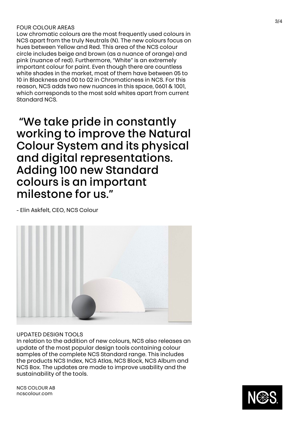### FOUR COLOUR AREAS

Low chromatic colours are the most frequently used colours in NCS apart from the truly Neutrals (N). The new colours focus on hues between Yellow and Red. This area of the NCS colour circle includes beige and brown (as a nuance of orange) and pink (nuance of red). Furthermore, "White" is an extremely important colour for paint. Even though there are countless white shades in the market, most of them have between 05 to 10 in Blackness and 00 to 02 in Chromaticness in NCS. For this reason, NCS adds two new nuances in this space, 0601 & 1001, which corresponds to the most sold whites apart from current Standard NCS.

"We take pride in constantly working to improve the Natural Colour System and its physical and digital representations. Adding 100 new Standard colours is an important milestone for us."

- Elin Askfelt, CEO, NCS Colour



### UPDATED DESIGN TOOLS

In relation to the addition of new colours, NCS also releases an update of the most popular design tools containing colour samples of the complete NCS Standard range. This includes the products NCS Index, NCS Atlas, NCS Block, NCS Album and NCS Box. The updates are made to improve usability and the sustainability of the tools.

NCS COLOUR AB ncscolour.com